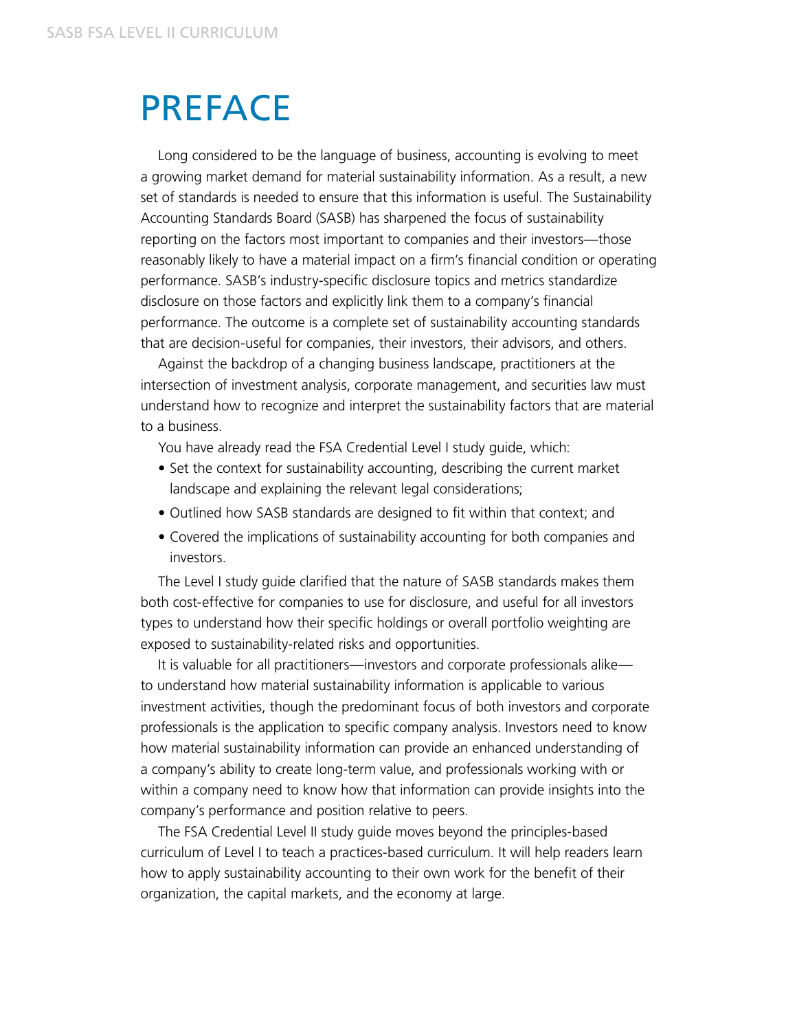## <span id="page-0-0"></span>PREFACE

Long considered to be the language of business, accounting is evolving to meet a growing market demand for material sustainability information. As a result, a new set of standards is needed to ensure that this information is useful. The Sustainability Accounting Standards Board (SASB) has sharpened the focus of sustainability reporting on the factors most important to companies and their investors—those reasonably likely to have a material impact on a firm's financial condition or operating performance. SASB's industry-specific disclosure topics and metrics standardize disclosure on those factors and explicitly link them to a company's financial performance. The outcome is a complete set of sustainability accounting standards that are decision-useful for companies, their investors, their advisors, and others.

Against the backdrop of a changing business landscape, practitioners at the intersection of investment analysis, corporate management, and securities law must understand how to recognize and interpret the sustainability factors that are material to a business.

You have already read the FSA Credential Level I study guide, which:

- Set the context for sustainability accounting, describing the current market landscape and explaining the relevant legal considerations;
- Outlined how SASB standards are designed to fit within that context; and
- Covered the implications of sustainability accounting for both companies and investors.

The Level I study guide clarified that the nature of SASB standards makes them both cost-effective for companies to use for disclosure, and useful for all investors types to understand how their specific holdings or overall portfolio weighting are exposed to sustainability-related risks and opportunities.

It is valuable for all practitioners—investors and corporate professionals alike to understand how material sustainability information is applicable to various investment activities, though the predominant focus of both investors and corporate professionals is the application to specific company analysis. Investors need to know how material sustainability information can provide an enhanced understanding of a company's ability to create long-term value, and professionals working with or within a company need to know how that information can provide insights into the company's performance and position relative to peers.

The FSA Credential Level II study guide moves beyond the principles-based curriculum of Level I to teach a practices-based curriculum. It will help readers learn how to apply sustainability accounting to their own work for the benefit of their organization, the capital markets, and the economy at large.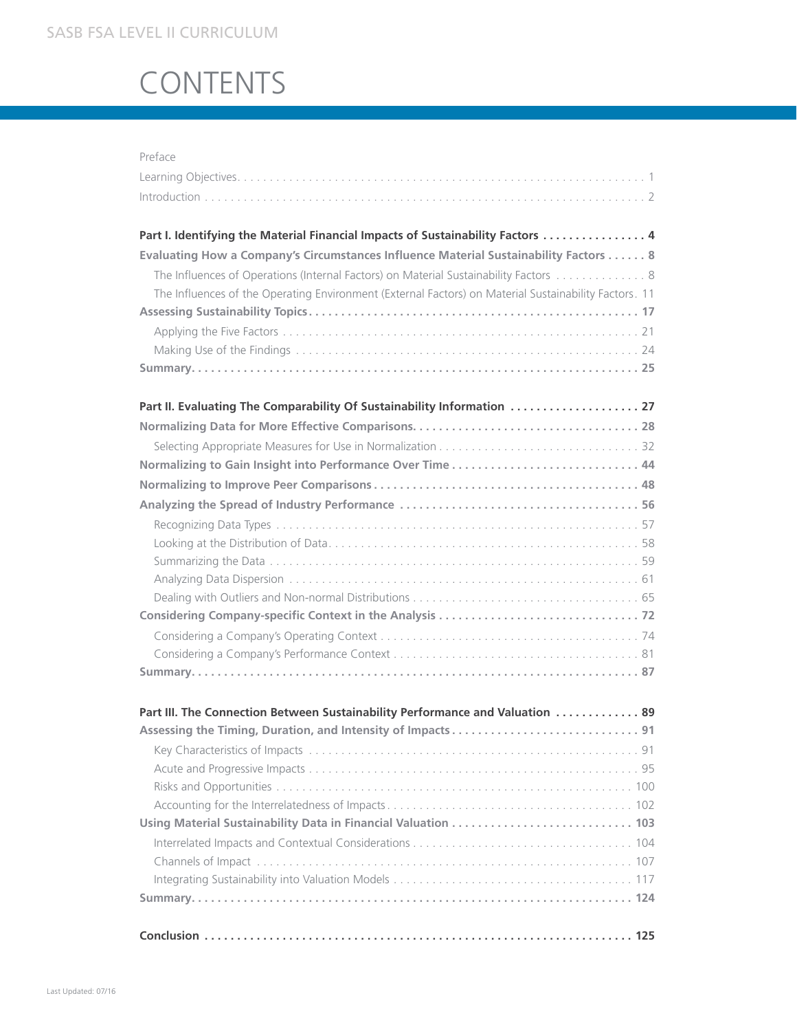## SASB FSA LEVEL II CURRICULUM

## CONTENTS

| Preface                                                                                               |
|-------------------------------------------------------------------------------------------------------|
|                                                                                                       |
|                                                                                                       |
|                                                                                                       |
| Part I. Identifying the Material Financial Impacts of Sustainability Factors  4                       |
| Evaluating How a Company's Circumstances Influence Material Sustainability Factors 8                  |
| The Influences of Operations (Internal Factors) on Material Sustainability Factors  8                 |
| The Influences of the Operating Environment (External Factors) on Material Sustainability Factors. 11 |
|                                                                                                       |
|                                                                                                       |
|                                                                                                       |
|                                                                                                       |
|                                                                                                       |
| Part II. Evaluating The Comparability Of Sustainability Information  27                               |
|                                                                                                       |
|                                                                                                       |
|                                                                                                       |
|                                                                                                       |
|                                                                                                       |
|                                                                                                       |
|                                                                                                       |
|                                                                                                       |
|                                                                                                       |
|                                                                                                       |
|                                                                                                       |
|                                                                                                       |
|                                                                                                       |
|                                                                                                       |
| Part III. The Connection Between Sustainability Performance and Valuation  89                         |
|                                                                                                       |
|                                                                                                       |
|                                                                                                       |
|                                                                                                       |
|                                                                                                       |
|                                                                                                       |
|                                                                                                       |
|                                                                                                       |
|                                                                                                       |
|                                                                                                       |
|                                                                                                       |
|                                                                                                       |